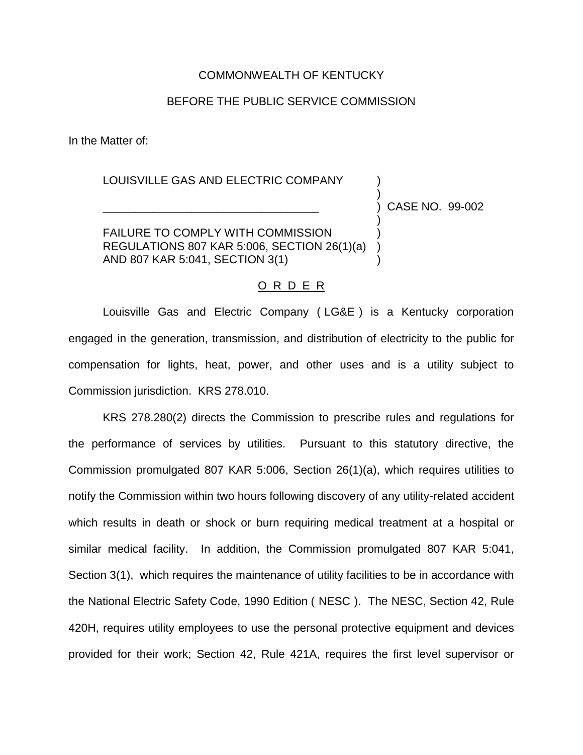## COMMONWEALTH OF KENTUCKY

## BEFORE THE PUBLIC SERVICE COMMISSION

In the Matter of:

## LOUISVILLE GAS AND ELECTRIC COMPANY

\_\_\_\_\_\_\_\_\_\_\_\_\_\_\_\_\_\_\_\_\_\_\_\_\_\_\_\_\_\_\_\_\_\_ ) CASE NO. 99-002

)

)

FAILURE TO COMPLY WITH COMMISSION ) REGULATIONS 807 KAR 5:006, SECTION 26(1)(a) ) AND 807 KAR 5:041, SECTION 3(1) )

## O R D E R

Louisville Gas and Electric Company ( LG&E ) is a Kentucky corporation engaged in the generation, transmission, and distribution of electricity to the public for compensation for lights, heat, power, and other uses and is a utility subject to Commission jurisdiction. KRS 278.010.

KRS 278.280(2) directs the Commission to prescribe rules and regulations for the performance of services by utilities. Pursuant to this statutory directive, the Commission promulgated 807 KAR 5:006, Section 26(1)(a), which requires utilities to notify the Commission within two hours following discovery of any utility-related accident which results in death or shock or burn requiring medical treatment at a hospital or similar medical facility. In addition, the Commission promulgated 807 KAR 5:041, Section 3(1), which requires the maintenance of utility facilities to be in accordance with the National Electric Safety Code, 1990 Edition ( NESC ). The NESC, Section 42, Rule 420H, requires utility employees to use the personal protective equipment and devices provided for their work; Section 42, Rule 421A, requires the first level supervisor or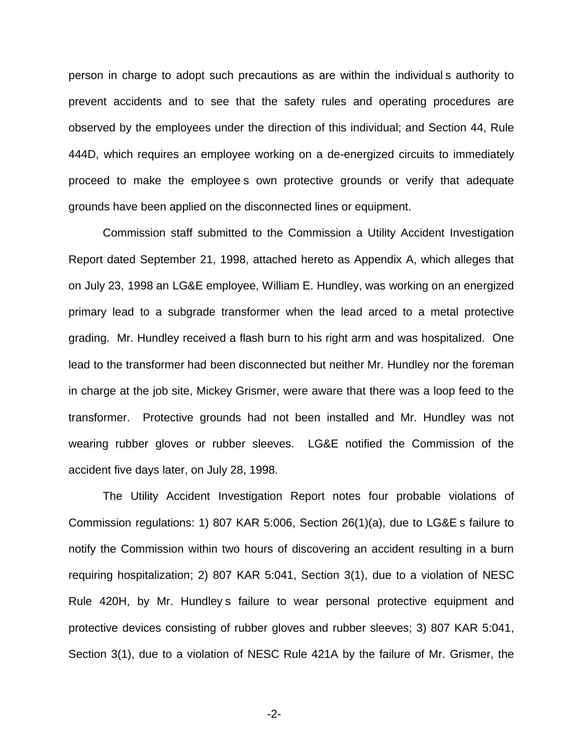person in charge to adopt such precautions as are within the individual s authority to prevent accidents and to see that the safety rules and operating procedures are observed by the employees under the direction of this individual; and Section 44, Rule 444D, which requires an employee working on a de-energized circuits to immediately proceed to make the employee s own protective grounds or verify that adequate grounds have been applied on the disconnected lines or equipment.

Commission staff submitted to the Commission a Utility Accident Investigation Report dated September 21, 1998, attached hereto as Appendix A, which alleges that on July 23, 1998 an LG&E employee, William E. Hundley, was working on an energized primary lead to a subgrade transformer when the lead arced to a metal protective grading. Mr. Hundley received a flash burn to his right arm and was hospitalized. One lead to the transformer had been disconnected but neither Mr. Hundley nor the foreman in charge at the job site, Mickey Grismer, were aware that there was a loop feed to the transformer. Protective grounds had not been installed and Mr. Hundley was not wearing rubber gloves or rubber sleeves. LG&E notified the Commission of the accident five days later, on July 28, 1998.

The Utility Accident Investigation Report notes four probable violations of Commission regulations: 1) 807 KAR 5:006, Section 26(1)(a), due to LG&E s failure to notify the Commission within two hours of discovering an accident resulting in a burn requiring hospitalization; 2) 807 KAR 5:041, Section 3(1), due to a violation of NESC Rule 420H, by Mr. Hundley s failure to wear personal protective equipment and protective devices consisting of rubber gloves and rubber sleeves; 3) 807 KAR 5:041, Section 3(1), due to a violation of NESC Rule 421A by the failure of Mr. Grismer, the

-2-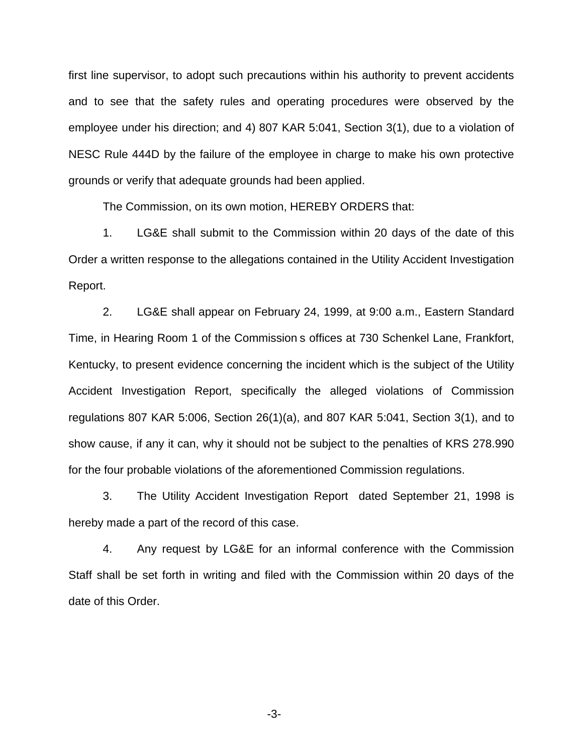first line supervisor, to adopt such precautions within his authority to prevent accidents and to see that the safety rules and operating procedures were observed by the employee under his direction; and 4) 807 KAR 5:041, Section 3(1), due to a violation of NESC Rule 444D by the failure of the employee in charge to make his own protective grounds or verify that adequate grounds had been applied.

The Commission, on its own motion, HEREBY ORDERS that:

1. LG&E shall submit to the Commission within 20 days of the date of this Order a written response to the allegations contained in the Utility Accident Investigation Report.

2. LG&E shall appear on February 24, 1999, at 9:00 a.m., Eastern Standard Time, in Hearing Room 1 of the Commission s offices at 730 Schenkel Lane, Frankfort, Kentucky, to present evidence concerning the incident which is the subject of the Utility Accident Investigation Report, specifically the alleged violations of Commission regulations 807 KAR 5:006, Section 26(1)(a), and 807 KAR 5:041, Section 3(1), and to show cause, if any it can, why it should not be subject to the penalties of KRS 278.990 for the four probable violations of the aforementioned Commission regulations.

3. The Utility Accident Investigation Report dated September 21, 1998 is hereby made a part of the record of this case.

4. Any request by LG&E for an informal conference with the Commission Staff shall be set forth in writing and filed with the Commission within 20 days of the date of this Order.

-3-